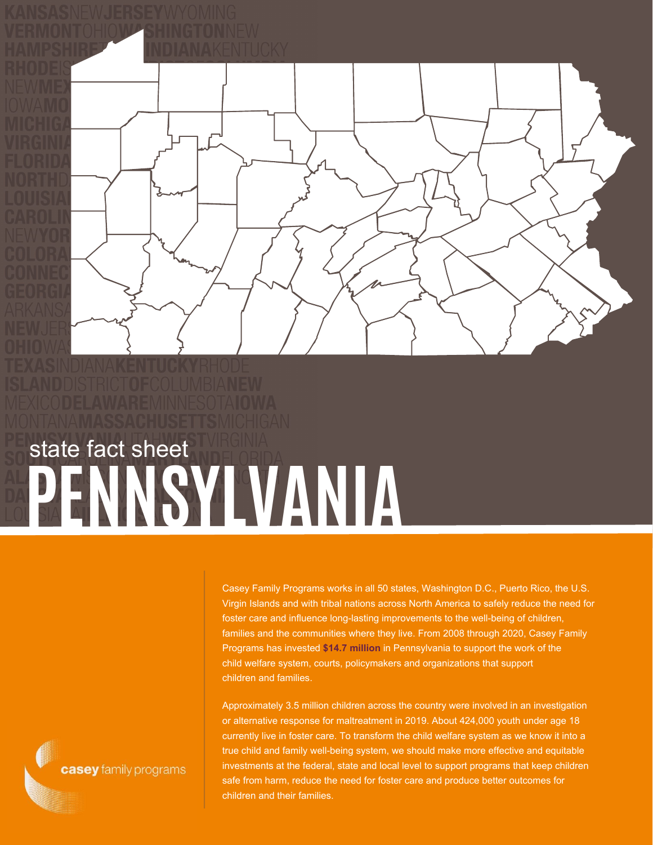

## **PENNSYLVANIA** state fact sheet

Casey Family Programs works in all 50 states, Washington D.C., Puerto Rico, the U.S. Virgin Islands and with tribal nations across North America to safely reduce the need for foster care and influence long-lasting improvements to the well-being of children, families and the communities where they live. From 2008 through 2020, Casey Family Programs has invested **\$14.7 million** in Pennsylvania to support the work of the child welfare system, courts, policymakers and organizations that support children and families.

Approximately 3.5 million children across the country were involved in an investigation or alternative response for maltreatment in 2019. About 424,000 youth under age 18 currently live in foster care. To transform the child welfare system as we know it into a true child and family well-being system, we should make more effective and equitable investments at the federal, state and local level to support programs that keep children safe from harm, reduce the need for foster care and produce better outcomes for children and their families.

casey family programs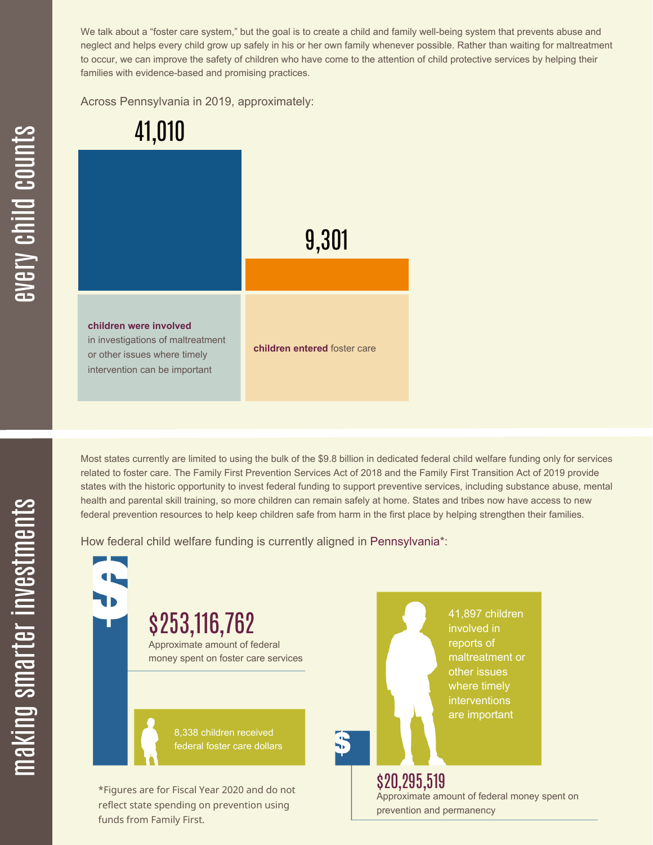We talk about a "foster care system," but the goal is to create a child and family well-being system that prevents abuse and neglect and helps every child grow up safely in his or her own family whenever possible. Rather than waiting for maltreatment to occur, we can improve the safety of children who have come to the attention of child protective services by helping their families with evidence-based and promising practices.

Across Pennsylvania in 2019, approximately:



Most states currently are limited to using the bulk of the \$9.8 billion in dedicated federal child welfare funding only for services related to foster care. The Family First Prevention Services Act of 2018 and the Family First Transition Act of 2019 provide states with the historic opportunity to invest federal funding to support preventive services, including substance abuse, mental health and parental skill training, so more children can remain safely at home. States and tribes now have access to new federal prevention resources to help keep children safe from harm in the first place by helping strengthen their families.

How federal child welfare funding is currently aligned in Pennsylvania\*:

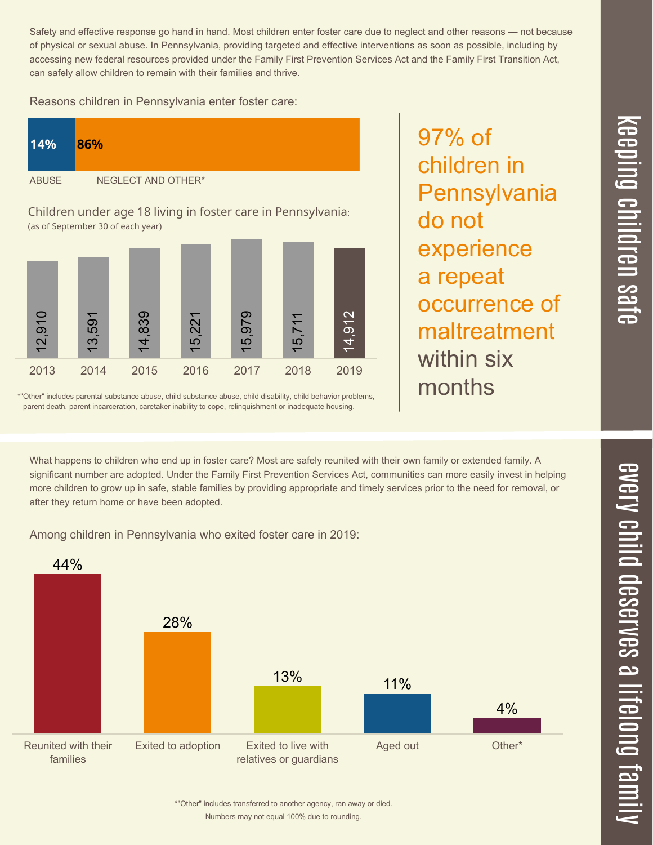Numbers may not equal 100% due to rounding. \*"Other" includes transferred to another agency, ran away or died.

Safety and effective response go hand in hand. Most children enter foster care due to neglect and other reasons — not because of physical or sexual abuse. In Pennsylvania, providing targeted and effective interventions as soon as possible, including by accessing new federal resources provided under the Family First Prevention Services Act and the Family First Transition Act, can safely allow children to remain with their families and thrive.

Reasons children in Pennsylvania enter foster care:

| 14%                                                          | 86%                |
|--------------------------------------------------------------|--------------------|
| <b>ABUSE</b>                                                 | NEGLECT AND OTHER* |
| Children under 200 18 living in fector care in Dennsylvania. |                    |

Children under age 18 living in foster care in Pennsylvania: (as of September 30 of each year)



\*"Other" includes parental substance abuse, child substance abuse, child disability, child behavior problems, parent death, parent incarceration, caretaker inability to cope, relinquishment or inadequate housing.

What happens to children who end up in foster care? Most are safely reunited with their own family or extended family. A significant number are adopted. Under the Family First Prevention Services Act, communities can more easily invest in helping more children to grow up in safe, stable families by providing appropriate and timely services prior to the need for removal, or after they return home or have been adopted.

Among children in Pennsylvania who exited foster care in 2019:



 $\overline{\mathbf{C}}$  $\leq$  $\overline{\mathbf{C}}$  $\overline{\mathsf{Z}}$  $\overline{\mathbf{C}}$ 

 $\equiv$ 

 $\blacksquare$ e  $\boldsymbol{\mathcal{C}}$  $\overline{\mathbf{C}}$  $\overline{\phantom{a}}$  $\overline{\mathbf{C}}$  $\mathcal{C}$ <u>م</u>

 $\equiv$ 

el<br>O  $\overline{\phantom{0}}$  $\blacksquare$ 

t<br>B

mily

97% of children in **Pennsylvania** do not experience a repeat occurrence of maltreatment within six months